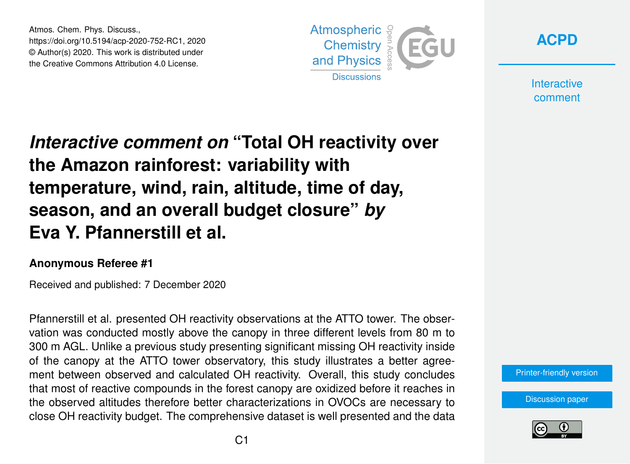Atmos. Chem. Phys. Discuss., https://doi.org/10.5194/acp-2020-752-RC1, 2020 © Author(s) 2020. This work is distributed under the Creative Commons Attribution 4.0 License.





**Interactive** comment

## *Interactive comment on* **"Total OH reactivity over the Amazon rainforest: variability with temperature, wind, rain, altitude, time of day, season, and an overall budget closure"** *by* **Eva Y. Pfannerstill et al.**

## **Anonymous Referee #1**

Received and published: 7 December 2020

Pfannerstill et al. presented OH reactivity observations at the ATTO tower. The observation was conducted mostly above the canopy in three different levels from 80 m to 300 m AGL. Unlike a previous study presenting significant missing OH reactivity inside of the canopy at the ATTO tower observatory, this study illustrates a better agreement between observed and calculated OH reactivity. Overall, this study concludes that most of reactive compounds in the forest canopy are oxidized before it reaches in the observed altitudes therefore better characterizations in OVOCs are necessary to close OH reactivity budget. The comprehensive dataset is well presented and the data

[Printer-friendly version](https://acp.copernicus.org/preprints/acp-2020-752/acp-2020-752-RC1-print.pdf)

[Discussion paper](https://acp.copernicus.org/preprints/acp-2020-752)

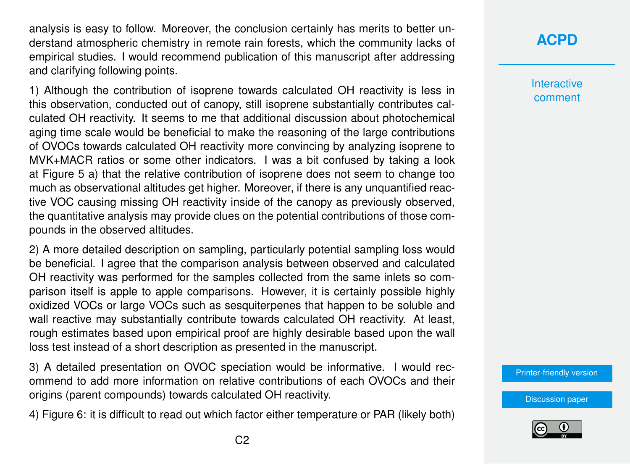analysis is easy to follow. Moreover, the conclusion certainly has merits to better understand atmospheric chemistry in remote rain forests, which the community lacks of empirical studies. I would recommend publication of this manuscript after addressing and clarifying following points.

1) Although the contribution of isoprene towards calculated OH reactivity is less in this observation, conducted out of canopy, still isoprene substantially contributes calculated OH reactivity. It seems to me that additional discussion about photochemical aging time scale would be beneficial to make the reasoning of the large contributions of OVOCs towards calculated OH reactivity more convincing by analyzing isoprene to MVK+MACR ratios or some other indicators. I was a bit confused by taking a look at Figure 5 a) that the relative contribution of isoprene does not seem to change too much as observational altitudes get higher. Moreover, if there is any unquantified reactive VOC causing missing OH reactivity inside of the canopy as previously observed, the quantitative analysis may provide clues on the potential contributions of those compounds in the observed altitudes.

2) A more detailed description on sampling, particularly potential sampling loss would be beneficial. I agree that the comparison analysis between observed and calculated OH reactivity was performed for the samples collected from the same inlets so comparison itself is apple to apple comparisons. However, it is certainly possible highly oxidized VOCs or large VOCs such as sesquiterpenes that happen to be soluble and wall reactive may substantially contribute towards calculated OH reactivity. At least, rough estimates based upon empirical proof are highly desirable based upon the wall loss test instead of a short description as presented in the manuscript.

3) A detailed presentation on OVOC speciation would be informative. I would recommend to add more information on relative contributions of each OVOCs and their origins (parent compounds) towards calculated OH reactivity.

4) Figure 6: it is difficult to read out which factor either temperature or PAR (likely both)

## **[ACPD](https://acp.copernicus.org/preprints/)**

**Interactive** comment

[Printer-friendly version](https://acp.copernicus.org/preprints/acp-2020-752/acp-2020-752-RC1-print.pdf)

[Discussion paper](https://acp.copernicus.org/preprints/acp-2020-752)